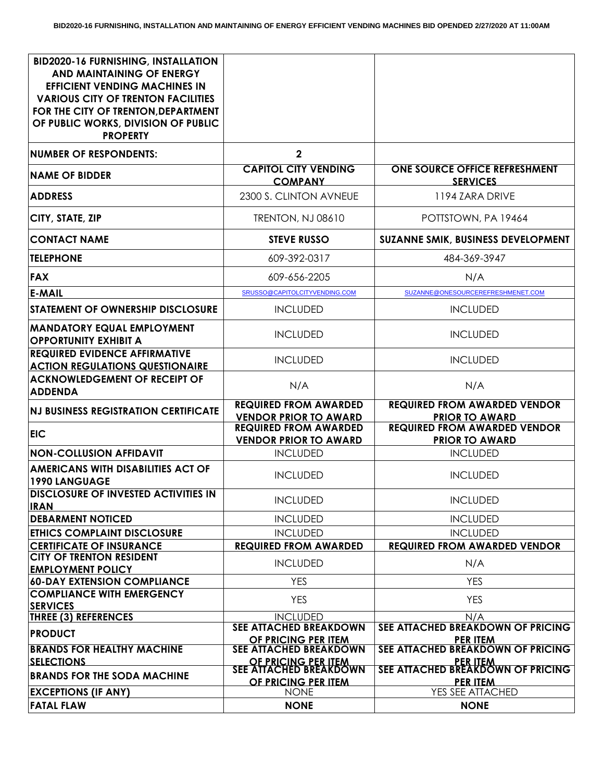| <b>BID2020-16 FURNISHING, INSTALLATION</b><br>AND MAINTAINING OF ENERGY<br><b>EFFICIENT VENDING MACHINES IN</b><br><b>VARIOUS CITY OF TRENTON FACILITIES</b><br>FOR THE CITY OF TRENTON, DEPARTMENT<br>OF PUBLIC WORKS, DIVISION OF PUBLIC<br><b>PROPERTY</b> |                                                              |                                                              |
|---------------------------------------------------------------------------------------------------------------------------------------------------------------------------------------------------------------------------------------------------------------|--------------------------------------------------------------|--------------------------------------------------------------|
| <b>NUMBER OF RESPONDENTS:</b>                                                                                                                                                                                                                                 | $\overline{2}$                                               |                                                              |
| <b>NAME OF BIDDER</b>                                                                                                                                                                                                                                         | <b>CAPITOL CITY VENDING</b><br><b>COMPANY</b>                | <b>ONE SOURCE OFFICE REFRESHMENT</b><br><b>SERVICES</b>      |
| <b>ADDRESS</b>                                                                                                                                                                                                                                                | 2300 S. CLINTON AVNEUE                                       | 1194 ZARA DRIVE                                              |
| CITY, STATE, ZIP                                                                                                                                                                                                                                              | <b>TRENTON, NJ 08610</b>                                     | POTTSTOWN, PA 19464                                          |
| <b>CONTACT NAME</b>                                                                                                                                                                                                                                           | <b>STEVE RUSSO</b>                                           | SUZANNE SMIK, BUSINESS DEVELOPMENT                           |
| <b>TELEPHONE</b>                                                                                                                                                                                                                                              | 609-392-0317                                                 | 484-369-3947                                                 |
| <b>FAX</b>                                                                                                                                                                                                                                                    | 609-656-2205                                                 | N/A                                                          |
| <b>E-MAIL</b>                                                                                                                                                                                                                                                 | SRUSSO@CAPITOLCITYVENDING.COM                                | SUZANNE@ONESOURCEREFRESHMENET.COM                            |
| <b>STATEMENT OF OWNERSHIP DISCLOSURE</b>                                                                                                                                                                                                                      | <b>INCLUDED</b>                                              | <b>INCLUDED</b>                                              |
| <b>MANDATORY EQUAL EMPLOYMENT</b><br><b>OPPORTUNITY EXHIBIT A</b>                                                                                                                                                                                             | <b>INCLUDED</b>                                              | <b>INCLUDED</b>                                              |
| <b>REQUIRED EVIDENCE AFFIRMATIVE</b><br><b>ACTION REGULATIONS QUESTIONAIRE</b>                                                                                                                                                                                | <b>INCLUDED</b>                                              | <b>INCLUDED</b>                                              |
| <b>ACKNOWLEDGEMENT OF RECEIPT OF</b><br><b>ADDENDA</b>                                                                                                                                                                                                        | N/A                                                          | N/A                                                          |
| <b>NJ BUSINESS REGISTRATION CERTIFICATE</b>                                                                                                                                                                                                                   | <b>REQUIRED FROM AWARDED</b><br><b>VENDOR PRIOR TO AWARD</b> | <b>REQUIRED FROM AWARDED VENDOR</b><br><b>PRIOR TO AWARD</b> |
| <b>EIC</b>                                                                                                                                                                                                                                                    | <b>REQUIRED FROM AWARDED</b><br><b>VENDOR PRIOR TO AWARD</b> | <b>REQUIRED FROM AWARDED VENDOR</b><br><b>PRIOR TO AWARD</b> |
| <b>NON-COLLUSION AFFIDAVIT</b>                                                                                                                                                                                                                                | <b>INCLUDED</b>                                              | <b>INCLUDED</b>                                              |
| <b>AMERICANS WITH DISABILITIES ACT OF</b><br><b>1990 LANGUAGE</b>                                                                                                                                                                                             | <b>INCLUDED</b>                                              | <b>INCLUDED</b>                                              |
| <b>DISCLOSURE OF INVESTED ACTIVITIES IN</b><br><b>IRAN</b>                                                                                                                                                                                                    | <b>INCLUDED</b>                                              | <b>INCLUDED</b>                                              |
| <b>DEBARMENT NOTICED</b>                                                                                                                                                                                                                                      | <b>INCLUDED</b>                                              | <b>INCLUDED</b>                                              |
| <b>ETHICS COMPLAINT DISCLOSURE</b>                                                                                                                                                                                                                            | <b>INCLUDED</b>                                              | <b>INCLUDED</b>                                              |
| <b>CERTIFICATE OF INSURANCE</b>                                                                                                                                                                                                                               | <b>REQUIRED FROM AWARDED</b>                                 | <b>REQUIRED FROM AWARDED VENDOR</b>                          |
| <b>CITY OF TRENTON RESIDENT</b><br><b>EMPLOYMENT POLICY</b>                                                                                                                                                                                                   | <b>INCLUDED</b>                                              | N/A                                                          |
| <b>60-DAY EXTENSION COMPLIANCE</b>                                                                                                                                                                                                                            | <b>YES</b>                                                   | <b>YES</b>                                                   |
| <b>COMPLIANCE WITH EMERGENCY</b>                                                                                                                                                                                                                              | <b>YES</b>                                                   | <b>YES</b>                                                   |
| <b>SERVICES</b><br><b>THREE (3) REFERENCES</b>                                                                                                                                                                                                                | <b>INCLUDED</b>                                              | N/A                                                          |
| <b>PRODUCT</b>                                                                                                                                                                                                                                                | <b>SEE ATTACHED BREAKDOWN</b>                                | SEE ATTACHED BREAKDOWN OF PRICING                            |
| <b>BRANDS FOR HEALTHY MACHINE</b>                                                                                                                                                                                                                             | OF PRICING PER ITEM<br><b>SEE ATTACHED BREAKDOWN</b>         | <b>PER ITEM</b><br>SEE ATTACHED BREAKDOWN OF PRICING         |
| <b>SELECTIONS</b>                                                                                                                                                                                                                                             | OF PRICING PER ITEM<br>SEE ATTACHED BREAKDOWN                | <b>PER ITEM</b>                                              |
| <b>BRANDS FOR THE SODA MACHINE</b>                                                                                                                                                                                                                            | OF PRICING PER ITEM                                          | SEE ATTACHED BREAKDOWN OF PRICING<br><b>PER ITEM</b>         |
| <b>EXCEPTIONS (IF ANY)</b>                                                                                                                                                                                                                                    | <b>NONE</b>                                                  | YES SEE ATTACHED                                             |
| <b>FATAL FLAW</b>                                                                                                                                                                                                                                             | <b>NONE</b>                                                  | <b>NONE</b>                                                  |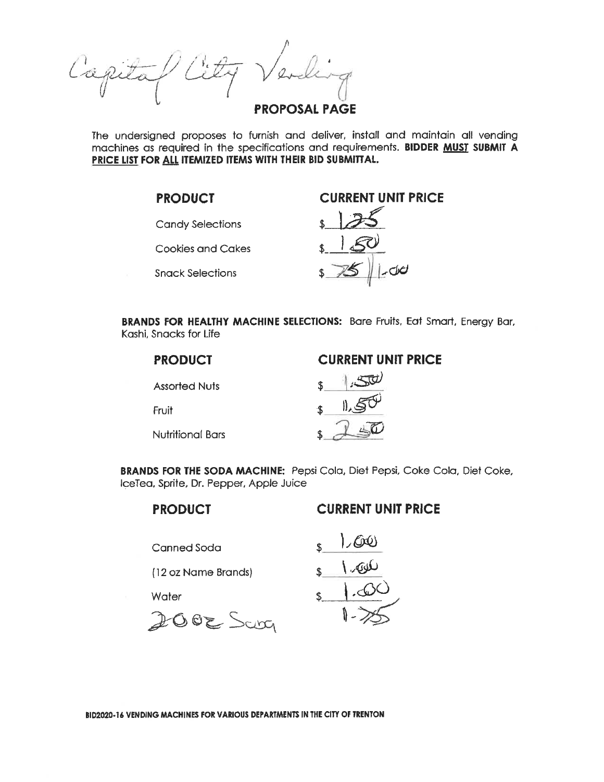**PROPOSAL PAGE** 

The undersigned proposes to furnish and deliver, install and maintain all vending machines as required in the specifications and requirements. BIDDER MUST SUBMIT A PRICE LIST FOR ALL ITEMIZED ITEMS WITH THEIR BID SUBMITTAL.

#### **PRODUCT**

**Candy Selections** 

**Cookies and Cakes** 

**Snack Selections** 

### **CURRENT UNIT PRICE**



BRANDS FOR HEALTHY MACHINE SELECTIONS: Bare Fruits, Eat Smart, Energy Bar, Kashi, Snacks for Life

| <b>PRODUCT</b>   | <b>CURRENT UNIT PRICE</b> |
|------------------|---------------------------|
| Assorted Nuts    |                           |
| Fruit            |                           |
| Nutritional Bars |                           |

**BRANDS FOR THE SODA MACHINE:** Pepsi Cola, Diet Pepsi, Coke Cola, Diet Coke, IceTea, Sprite, Dr. Pepper, Apple Juice

#### **PRODUCT**

#### **CURRENT UNIT PRICE**

Canned Soda

(12 oz Name Brands)

Water

 $2002$  Sava

 $60$ کلوټ (

BID2020-16 VENDING MACHINES FOR VARIOUS DEPARTMENTS IN THE CITY OF TRENTON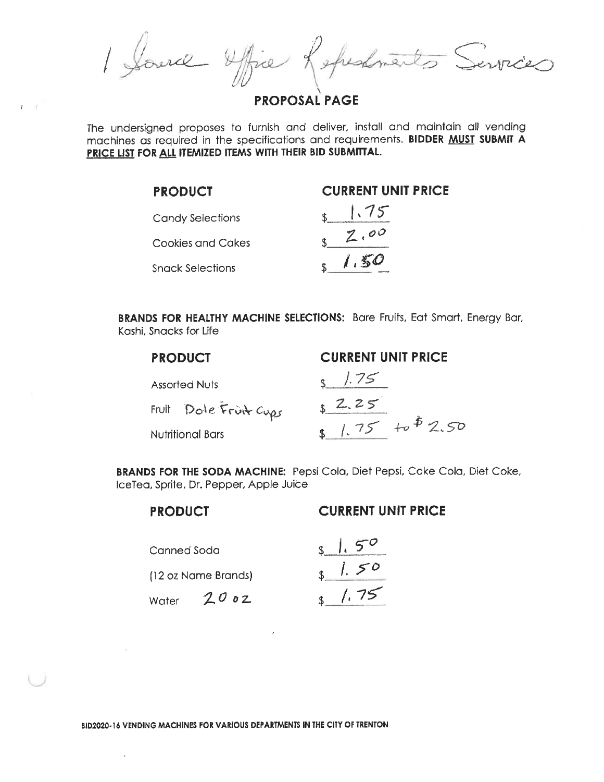Source Office Repeatments Services

**PROPOSAL PAGE** 

The undersigned proposes to furnish and deliver, install and maintain all vending machines as required in the specifications and requirements. BIDDER MUST SUBMIT A PRICE LIST FOR ALL ITEMIZED ITEMS WITH THEIR BID SUBMITTAL.

| <b>PRODUCT</b>          | <b>CURRENT UNIT PRICE</b> |
|-------------------------|---------------------------|
| <b>Candy Selections</b> | 1.75                      |
| Cookies and Cakes       | Z,00                      |
| <b>Snack Selections</b> | $\sqrt{1.50}$             |

**BRANDS FOR HEALTHY MACHINE SELECTIONS:** Bare Fruits, Eat Smart, Energy Bar, Kashi, Snacks for Life

| <b>PRODUCT</b>          | <b>CURRENT UNIT PRICE</b> |
|-------------------------|---------------------------|
| Assorted Nuts           | 8/75                      |
| Fruit Dole Fruit Cups   | 52.25                     |
| <b>Nutritional Bars</b> | $1.75 + 0.50$             |

BRANDS FOR THE SODA MACHINE: Pepsi Cola, Diet Pepsi, Coke Cola, Diet Coke, IceTea, Sprite, Dr. Pepper, Apple Juice

### **PRODUCT**

#### **CURRENT UNIT PRICE**

Canned Soda

(12 oz Name Brands)

Water  $2002$ 

 $1.50$  $1.75$ 

BID2020-16 VENDING MACHINES FOR VARIOUS DEPARTMENTS IN THE CITY OF TRENTON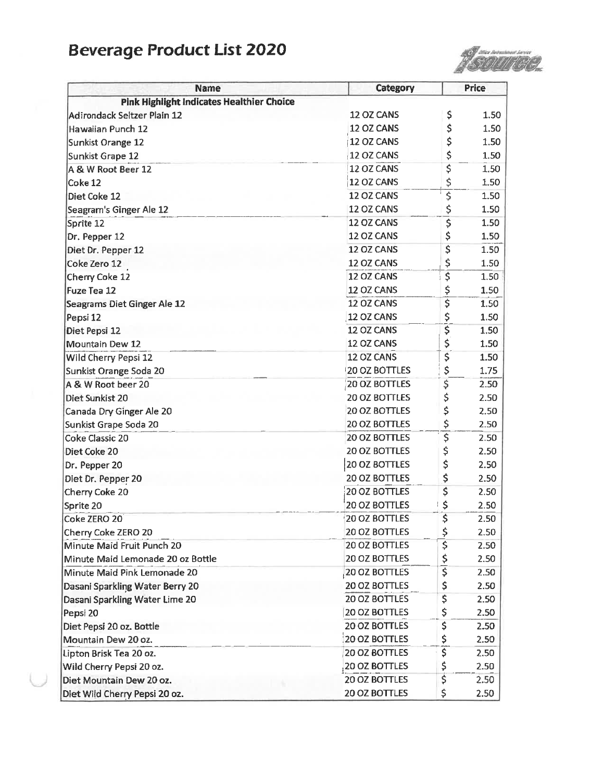# **Beverage Product List 2020**



| <b>Name</b>                                               | Category                       |                               | <b>Price</b> |
|-----------------------------------------------------------|--------------------------------|-------------------------------|--------------|
| <b>Pink Highlight Indicates Healthier Choice</b>          |                                |                               |              |
| Adirondack Seltzer Plain 12                               | 12 OZ CANS                     | \$                            | 1.50         |
| Hawaiian Punch 12                                         | 12 OZ CANS                     | \$                            | 1.50         |
| Sunkist Orange 12                                         | 12 OZ CANS                     | \$                            | 1.50         |
| Sunkist Grape 12                                          | 12 OZ CANS                     | \$                            | 1.50         |
| A & W Root Beer 12                                        | 12 OZ CANS                     | \$                            | 1.50         |
| Coke 12                                                   | 12 OZ CANS                     | \$                            | 1.50         |
| Diet Coke 12                                              | 12 OZ CANS                     | \$                            | 1.50         |
| Seagram's Ginger Ale 12                                   | 12 OZ CANS                     | \$                            | 1.50         |
| Sprite 12                                                 | 12 OZ CANS                     | \$                            | 1.50         |
| Dr. Pepper 12                                             | 12 OZ CANS                     | \$                            | 1.50         |
| Diet Dr. Pepper 12                                        | 12 OZ CANS                     | \$                            | 1.50         |
| Coke Zero 12                                              | 12 OZ CANS                     | \$                            | 1.50         |
| <b>Cherry Coke 12</b>                                     | 12 OZ CANS                     | $\overline{\boldsymbol{\xi}}$ | 1.50         |
| Fuze Tea 12                                               | 12 OZ CANS                     | \$                            | 1.50         |
| Seagrams Diet Ginger Ale 12                               | 12 OZ CANS                     | \$                            | 1.50         |
| Pepsi 12                                                  | 12 OZ CANS                     | \$                            | 1.50         |
| Diet Pepsi 12                                             | 12 OZ CANS                     | Ŝ                             | 1.50         |
| Mountain Dew 12                                           | 12 OZ CANS                     | \$                            | 1.50         |
| Wild Cherry Pepsi 12                                      | 12 OZ CANS                     | \$                            | 1.50         |
| Sunkist Orange Soda 20                                    | 20 OZ BOTTLES                  | \$                            | 1.75         |
| A & W Root beer 20                                        | 20 OZ BOTTLES                  | \$                            | 2.50         |
| Diet Sunkist 20                                           | 20 OZ BOTTLES                  | \$                            | 2.50         |
| Canada Dry Ginger Ale 20                                  | 20 OZ BOTTLES                  | \$                            | 2.50         |
| Sunkist Grape Soda 20                                     | <b>20 OZ BOTTLES</b>           | \$                            | 2.50         |
| Coke Classic 20                                           | 20 OZ BOTTLES                  | $\overline{\xi}$              | 2.50         |
| Diet Coke 20                                              | 20 OZ BOTTLES                  | \$                            | 2.50         |
| Dr. Pepper 20                                             | 20 OZ BOTTLES                  | \$                            | 2.50         |
| Diet Dr. Pepper 20                                        | <b>20 OZ BOTTLES</b>           | \$                            | 2.50         |
| Cherry Coke 20                                            | 20 OZ BOTTLES                  | \$                            | 2.50         |
| Sprite 20                                                 | 20 OZ BOTTLES                  | \$                            | 2.50         |
| Coke ZERO 20                                              | 20 OZ BOTTLES                  | $\overline{\mathsf{s}}$       | 2.50         |
| Cherry Coke ZERO 20                                       | 20 OZ BOTTLES                  | \$                            | 2.50         |
| Minute Maid Fruit Punch 20                                | 20 OZ BOTTLES                  | \$                            | 2.50         |
| Minute Maid Lemonade 20 oz Bottle                         | 20 OZ BOTTLES                  |                               | 2.50         |
| Minute Maid Pink Lemonade 20                              | 20 OZ BOTTLES                  | $\frac{5}{5}$                 | 2.50         |
| Dasani Sparkling Water Berry 20                           | 20 OZ BOTTLES                  | \$                            | 2.50         |
| Dasani Sparkling Water Lime 20                            | <b>20 OZ BOTTLES</b>           | \$                            | 2.50         |
| Pepsi 20                                                  | 20 OZ BOTTLES                  | \$                            | 2.50         |
| Diet Pepsi 20 oz. Bottle                                  | 20 OZ BOTTLES                  | \$                            | 2.50         |
| Mountain Dew 20 oz.                                       | 20 OZ BOTTLES                  | \$                            | 2.50         |
| Lipton Brisk Tea 20 oz.                                   | 20 OZ BOTTLES                  | \$                            | 2.50         |
| Wild Cherry Pepsi 20 oz.                                  | 20 OZ BOTTLES                  | \$                            | 2.50         |
|                                                           |                                |                               |              |
|                                                           |                                |                               |              |
| Diet Mountain Dew 20 oz.<br>Diet Wild Cherry Pepsi 20 oz. | 20 OZ BOTTLES<br>20 OZ BOTTLES | \$<br>\$                      | 2.50<br>2.50 |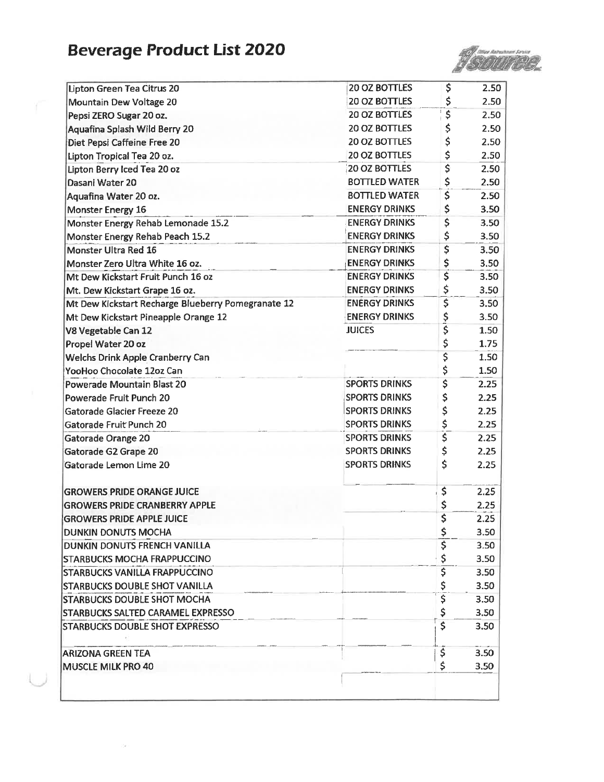# **Beverage Product List 2020**



| Lipton Green Tea Citrus 20                         | 20 OZ BOTTLES        | \$                                  | 2.50 |
|----------------------------------------------------|----------------------|-------------------------------------|------|
| Mountain Dew Voltage 20                            | <b>20 OZ BOTTLES</b> | \$                                  | 2.50 |
| Pepsi ZERO Sugar 20 oz.                            | <b>20 OZ BOTTLES</b> | \$                                  | 2.50 |
| Aquafina Splash Wild Berry 20                      | 20 OZ BOTTLES        | \$                                  | 2.50 |
| Diet Pepsi Caffeine Free 20                        | 20 OZ BOTTLES        | \$                                  | 2.50 |
| Lipton Tropical Tea 20 oz.                         | 20 OZ BOTTLES        | \$                                  | 2.50 |
| Lipton Berry Iced Tea 20 oz                        | 20 OZ BOTTLES        | \$                                  | 2.50 |
| Dasani Water 20                                    | <b>BOTTLED WATER</b> | \$                                  | 2.50 |
| Aquafina Water 20 oz.                              | <b>BOTTLED WATER</b> | \$                                  | 2.50 |
| Monster Energy 16                                  | <b>ENERGY DRINKS</b> | \$                                  | 3.50 |
| Monster Energy Rehab Lemonade 15.2                 | <b>ENERGY DRINKS</b> | \$                                  | 3.50 |
| Monster Energy Rehab Peach 15.2                    | <b>ENERGY DRINKS</b> | \$                                  | 3.50 |
| Monster Ultra Red 16                               | <b>ENERGY DRINKS</b> | \$                                  | 3.50 |
| Monster Zero Ultra White 16 oz.                    | <b>ENERGY DRINKS</b> | \$                                  | 3.50 |
| Mt Dew Kickstart Fruit Punch 16 oz                 | <b>ENERGY DRINKS</b> | \$                                  | 3.50 |
| Mt. Dew Kickstart Grape 16 oz.                     | <b>ENERGY DRINKS</b> | \$                                  | 3.50 |
| Mt Dew Kickstart Recharge Blueberry Pomegranate 12 | <b>ENERGY DRINKS</b> | \$                                  | 3.50 |
| Mt Dew Kickstart Pineapple Orange 12               | <b>ENERGY DRINKS</b> |                                     | 3.50 |
| <b>V8 Vegetable Can 12</b>                         | <b>JUICES</b>        | \$<br>\$                            | 1.50 |
| Propel Water 20 oz                                 |                      | \$                                  | 1.75 |
| Welchs Drink Apple Cranberry Can                   |                      | \$                                  | 1.50 |
| YooHoo Chocolate 12oz Can                          |                      | \$                                  | 1.50 |
| <b>Powerade Mountain Blast 20</b>                  | <b>SPORTS DRINKS</b> | \$                                  | 2.25 |
| Powerade Fruit Punch 20                            | <b>SPORTS DRINKS</b> | \$                                  | 2.25 |
| Gatorade Glacier Freeze 20                         | <b>SPORTS DRINKS</b> | \$                                  | 2.25 |
| Gatorade Fruit Punch 20                            | <b>SPORTS DRINKS</b> | \$                                  | 2.25 |
| <b>Gatorade Orange 20</b>                          | <b>SPORTS DRINKS</b> | $\overline{\boldsymbol{\varsigma}}$ | 2.25 |
| Gatorade G2 Grape 20                               | <b>SPORTS DRINKS</b> | \$                                  | 2.25 |
| Gatorade Lemon Lime 20                             | <b>SPORTS DRINKS</b> | \$                                  | 2.25 |
| <b>GROWERS PRIDE ORANGE JUICE</b>                  |                      | \$                                  | 2.25 |
| <b>GROWERS PRIDE CRANBERRY APPLE</b>               |                      | \$                                  | 2.25 |
| <b>GROWERS PRIDE APPLE JUICE</b>                   |                      | \$                                  | 2.25 |
| DUNKIN DONUTS MOCHA                                |                      | \$                                  | 3.50 |
| <b>DUNKIN DONUTS FRENCH VANILLA</b>                |                      | \$                                  | 3.50 |
| <b>STARBUCKS MOCHA FRAPPUCCINO</b>                 |                      | \$                                  | 3.50 |
| <b>STARBUCKS VANILLA FRAPPUCCINO</b>               |                      | \$                                  | 3.50 |
| <b>ISTARBUCKS DOUBLE SHOT VANILLA</b>              |                      |                                     | 3.50 |
| <b>STARBUCKS DOUBLE SHOT MOCHA</b>                 |                      | \$<br>\$                            | 3.50 |
| <b>STARBUCKS SALTED CARAMEL EXPRESSO</b>           |                      | \$                                  | 3.50 |
| <b>STARBUCKS DOUBLE SHOT EXPRESSO</b>              |                      | \$                                  | 3.50 |
|                                                    |                      | \$                                  | 3.50 |
| ARIZONA GREEN TEA                                  |                      |                                     |      |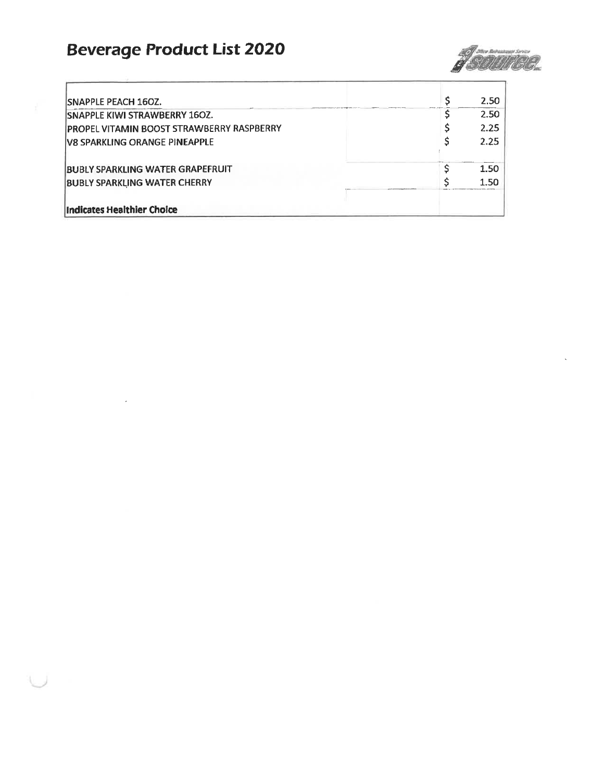# **Beverage Product List 2020**



| <b>ISNAPPLE PEACH 160Z.</b>               | 2.50              |
|-------------------------------------------|-------------------|
| <b>SNAPPLE KIWI STRAWBERRY 160Z.</b>      | 2.50 <sub>1</sub> |
| PROPEL VITAMIN BOOST STRAWBERRY RASPBERRY | 2.25              |
| <b>IV8 SPARKLING ORANGE PINEAPPLE</b>     | 2.25              |
| <b>BUBLY SPARKLING WATER GRAPEFRUIT</b>   | 1.50              |
| <b>BUBLY SPARKLING WATER CHERRY</b>       | 1.50              |
| <b>Indicates Healthier Choice</b>         |                   |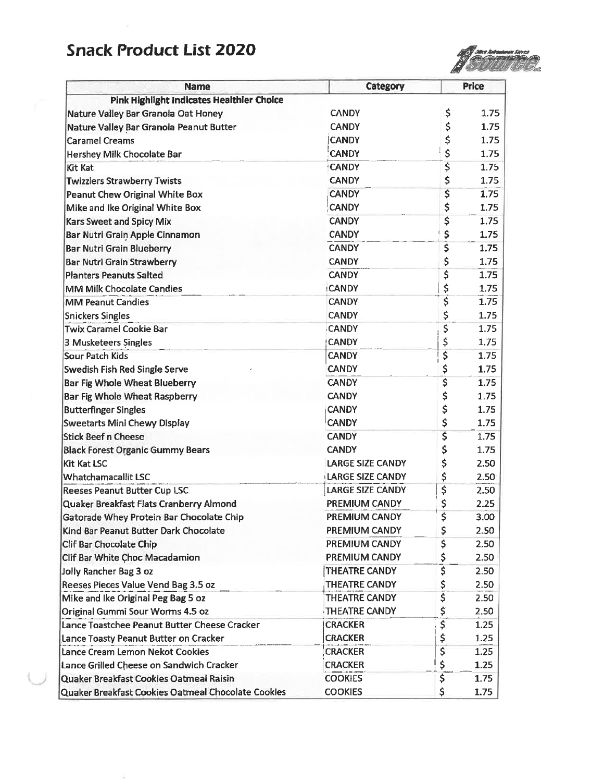## **Snack Product List 2020**



| <b>Name</b>                                        | Category                |                                      | Price |
|----------------------------------------------------|-------------------------|--------------------------------------|-------|
| Pink Highlight Indicates Healthier Choice          |                         |                                      |       |
| Nature Valley Bar Granola Oat Honey                | <b>CANDY</b>            | \$                                   | 1.75  |
| Nature Valley Bar Granola Peanut Butter            | <b>CANDY</b>            | \$                                   | 1.75  |
| <b>Caramel Creams</b>                              | <b>CANDY</b>            | \$                                   | 1.75  |
| Hershey Milk Chocolate Bar                         | <b>CANDY</b>            | \$                                   | 1.75  |
| Kit Kat                                            | <b>CANDY</b>            | \$                                   | 1.75  |
| <b>Twizzlers Strawberry Twists</b>                 | <b>CANDY</b>            | \$                                   | 1.75  |
| Peanut Chew Original White Box                     | <b>CANDY</b>            | \$                                   | 1.75  |
| Mike and Ike Original White Box                    | <b>CANDY</b>            | \$                                   | 1.75  |
| <b>Kars Sweet and Spicy Mix</b>                    | <b>CANDY</b>            | \$                                   | 1.75  |
| Bar Nutri Grain Apple Cinnamon                     | <b>CANDY</b>            | \$                                   | 1.75  |
| <b>Bar Nutri Grain Blueberry</b>                   | <b>CANDY</b>            | Ŝ                                    | 1.75  |
| <b>Bar Nutri Grain Strawberry</b>                  | <b>CANDY</b>            | \$                                   | 1.75  |
| <b>Planters Peanuts Salted</b>                     | <b>CANDY</b>            | \$                                   | 1.75  |
| <b>MM Milk Chocolate Candies</b>                   | <b>CANDY</b>            | \$                                   | 1.75  |
| <b>MM Peanut Candies</b>                           | <b>CANDY</b>            | \$                                   | 1.75  |
| <b>Snickers Singles</b>                            | <b>CANDY</b>            | \$                                   | 1.75  |
| <b>Twix Caramel Cookie Bar</b>                     | <b>CANDY</b>            | \$                                   | 1.75  |
| 3 Musketeers Singles                               | <b>CANDY</b>            | \$                                   | 1.75  |
| Sour Patch Kids                                    | <b>CANDY</b>            | \$                                   | 1.75  |
| Swedish Fish Red Single Serve                      | <b>CANDY</b>            | \$                                   | 1.75  |
| Bar Fig Whole Wheat Blueberry                      | <b>CANDY</b>            | $\overline{\mathsf{S}}$              | 1.75  |
| Bar Fig Whole Wheat Raspberry                      | <b>CANDY</b>            | \$                                   | 1.75  |
| <b>Butterfinger Singles</b>                        | <b>CANDY</b>            | \$                                   | 1.75  |
| Sweetarts Mini Chewy Display                       | <b>CANDY</b>            | \$                                   | 1.75  |
| <b>Stick Beef n Cheese</b>                         | <b>CANDY</b>            | \$                                   | 1.75  |
| <b>Black Forest Organic Gummy Bears</b>            | <b>CANDY</b>            | \$                                   | 1.75  |
| <b>Kit Kat LSC</b>                                 | <b>LARGE SIZE CANDY</b> | \$                                   | 2.50  |
| <b>Whatchamacallit LSC</b>                         | <b>LARGE SIZE CANDY</b> | \$                                   | 2.50  |
| <b>Reeses Peanut Butter Cup LSC</b>                | <b>LARGE SIZE CANDY</b> | \$                                   | 2.50  |
| Quaker Breakfast Flats Cranberry Almond            | PREMIUM CANDY           | \$                                   | 2.25  |
| Gatorade Whey Protein Bar Chocolate Chip           | PREMIUM CANDY           | Ś                                    | 3.00  |
| Kind Bar Peanut Butter Dark Chocolate              | PREMIUM CANDY           | \$                                   | 2.50  |
| Clif Bar Chocolate Chip                            | PREMIUM CANDY           | \$                                   | 2.50  |
| Clif Bar White Choc Macadamion                     | PREMIUM CANDY           | \$                                   | 2.50  |
| Jolly Rancher Bag 3 oz                             | <b>THEATRE CANDY</b>    | \$                                   | 2.50  |
| Reeses Pieces Value Vend Bag 3.5 oz                | <b>THEATRE CANDY</b>    |                                      | 2.50  |
| Mike and Ike Original Peg Bag 5 oz                 | THEATRE CANDY           | $rac{5}{5}$                          | 2.50  |
| Original Gummi Sour Worms 4.5 oz                   | THEATRE CANDY           | \$                                   | 2.50  |
| Lance Toastchee Peanut Butter Cheese Cracker       | <b>CRACKER</b>          | $\overline{\boldsymbol{\mathsf{s}}}$ | 1.25  |
| Lance Toasty Peanut Butter on Cracker              | <b>CRACKER</b>          | \$                                   | 1.25  |
| Lance Cream Lemon Nekot Cookies                    | <b>CRACKER</b>          | \$                                   | 1.25  |
| Lance Grilled Cheese on Sandwich Cracker           | <b>CRACKER</b>          | \$                                   | 1.25  |
| Quaker Breakfast Cookies Oatmeal Raisin            | <b>COOKIES</b>          | \$                                   | 1.75  |
| Quaker Breakfast Cookies Oatmeal Chocolate Cookies | <b>COOKIES</b>          | \$                                   | 1.75  |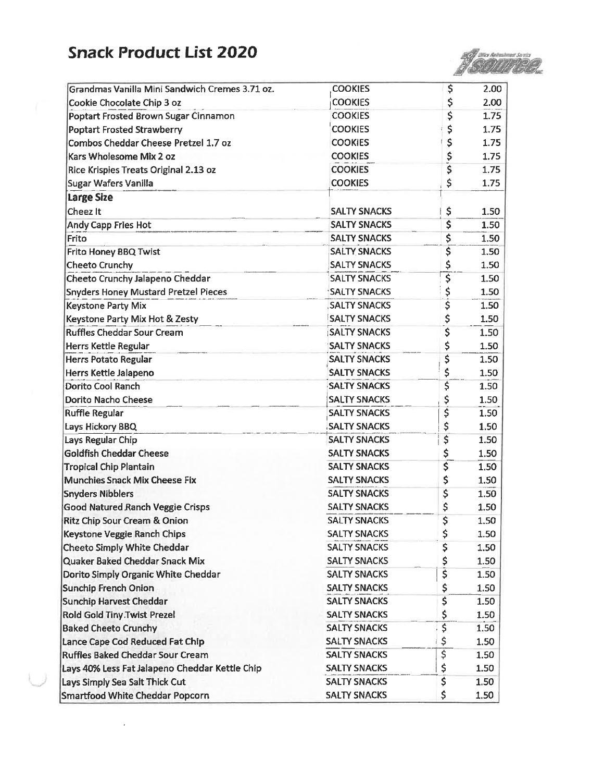## **Snack Product List 2020**



| Grandmas Vanilla Mini Sandwich Cremes 3.71 oz. | <b>COOKIES</b>      | \$                                   | 2.00 |
|------------------------------------------------|---------------------|--------------------------------------|------|
| Cookie Chocolate Chip 3 oz                     | <b>COOKIES</b>      | \$                                   | 2.00 |
| Poptart Frosted Brown Sugar Cinnamon           | <b>COOKIES</b>      | \$                                   | 1.75 |
| <b>Poptart Frosted Strawberry</b>              | <b>COOKIES</b>      | \$                                   | 1.75 |
| Combos Cheddar Cheese Pretzel 1.7 oz           | <b>COOKIES</b>      | \$                                   | 1.75 |
| Kars Wholesome Mix 2 oz                        | <b>COOKIES</b>      | \$                                   | 1.75 |
| Rice Krispies Treats Original 2.13 oz          | <b>COOKIES</b>      | Ŝ                                    | 1.75 |
| Sugar Wafers Vanilla                           | <b>COOKIES</b>      | \$                                   | 1.75 |
| <b>Large Size</b>                              |                     |                                      |      |
| Cheez It                                       | <b>SALTY SNACKS</b> | \$                                   | 1.50 |
| Andy Capp Fries Hot                            | <b>SALTY SNACKS</b> | \$                                   | 1.50 |
| Frito                                          | <b>SALTY SNACKS</b> | \$                                   | 1.50 |
| Frito Honey BBQ Twist                          | <b>SALTY SNACKS</b> | \$                                   | 1.50 |
| <b>Cheeto Crunchy</b>                          | <b>SALTY SNACKS</b> | \$                                   | 1.50 |
| Cheeto Crunchy Jalapeno Cheddar                | <b>SALTY SNACKS</b> |                                      | 1.50 |
| <b>Snyders Honey Mustard Pretzel Pieces</b>    | <b>SALTY SNACKS</b> | \$                                   | 1.50 |
| Keystone Party Mix                             | <b>SALTY SNACKS</b> | \$                                   | 1.50 |
| Keystone Party Mix Hot & Zesty                 | <b>SALTY SNACKS</b> | \$                                   | 1.50 |
| <b>Ruffles Cheddar Sour Cream</b>              | <b>SALTY SNACKS</b> | $\overline{\boldsymbol{\varsigma}}$  | 1.50 |
| Herrs Kettle Regular                           | <b>SALTY SNACKS</b> | \$                                   | 1.50 |
| Herrs Potato Regular                           | <b>SALTY SNACKS</b> | \$                                   | 1.50 |
| <b>Herrs Kettle Jalapeno</b>                   | <b>SALTY SNACKS</b> | \$                                   | 1.50 |
| <b>Dorito Cool Ranch</b>                       | <b>SALTY SNACKS</b> | \$                                   | 1.50 |
| Dorito Nacho Cheese                            | <b>SALTY SNACKS</b> | \$                                   | 1.50 |
| <b>Ruffle Regular</b>                          | <b>SALTY SNACKS</b> | \$                                   | 1.50 |
| Lays Hickory BBQ                               | <b>SALTY SNACKS</b> | \$                                   | 1.50 |
| Lays Regular Chip                              | <b>SALTY SNACKS</b> | \$                                   | 1.50 |
| <b>Goldfish Cheddar Cheese</b>                 | <b>SALTY SNACKS</b> | \$                                   | 1.50 |
| <b>Tropical Chip Plantain</b>                  | <b>SALTY SNACKS</b> | \$                                   | 1,50 |
| <b>Munchies Snack Mix Cheese Fix</b>           | <b>SALTY SNACKS</b> | \$                                   | 1.50 |
| <b>Snyders Nibblers</b>                        | <b>SALTY SNACKS</b> | \$                                   | 1.50 |
| <b>Good Natured Ranch Veggie Crisps</b>        | <b>SALTY SNACKS</b> | \$                                   | 1.50 |
| <b>Ritz Chip Sour Cream &amp; Onion</b>        | <b>SALTY SNACKS</b> | \$                                   | 1.50 |
| Keystone Veggie Ranch Chips                    | <b>SALTY SNACKS</b> | \$                                   | 1.50 |
| Cheeto Simply White Cheddar                    | <b>SALTY SNACKS</b> | \$                                   | 1.50 |
| Quaker Baked Cheddar Snack Mix                 | <b>SALTY SNACKS</b> | \$                                   | 1.50 |
| Dorito Simply Organic White Cheddar            | <b>SALTY SNACKS</b> | Š                                    | 1.50 |
| <b>Sunchip French Onion</b>                    | <b>SALTY SNACKS</b> | \$                                   | 1.50 |
| <b>Sunchip Harvest Cheddar</b>                 | <b>SALTY SNACKS</b> | \$                                   | 1.50 |
| Rold Gold Tiny.Twist Prezel                    | <b>SALTY SNACKS</b> | \$                                   | 1.50 |
| <b>Baked Cheeto Crunchy</b>                    | <b>SALTY SNACKS</b> | $\overline{\boldsymbol{\mathsf{S}}}$ | 1.50 |
| Lance Cape Cod Reduced Fat Chip                | <b>SALTY SNACKS</b> | \$                                   | 1.50 |
| <b>Ruffles Baked Cheddar Sour Cream</b>        | <b>SALTY SNACKS</b> | $\overline{\boldsymbol{\varsigma}}$  | 1.50 |
| Lays 40% Less Fat Jalapeno Cheddar Kettle Chip | <b>SALTY SNACKS</b> | \$                                   | 1.50 |
| Lays Simply Sea Salt Thick Cut                 | <b>SALTY SNACKS</b> | $\overline{\boldsymbol{\xi}}$        | 1.50 |
| <b>Smartfood White Cheddar Popcorn</b>         | <b>SALTY SNACKS</b> | \$                                   | 1.50 |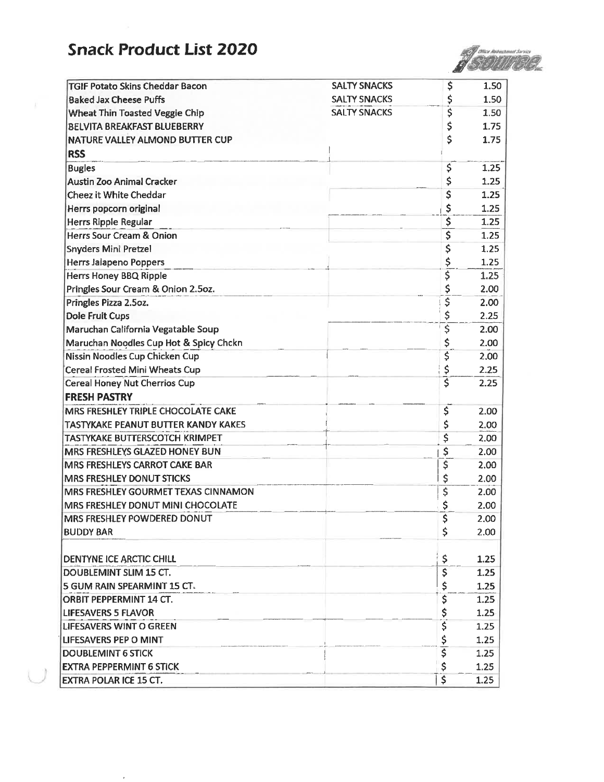### **Snack Product List 2020**

 $\epsilon$ 



| <b>TGIF Potato Skins Cheddar Bacon</b>     | <b>SALTY SNACKS</b> | \$                                  | 1.50     |
|--------------------------------------------|---------------------|-------------------------------------|----------|
| <b>Baked Jax Cheese Puffs</b>              | <b>SALTY SNACKS</b> | \$                                  | 1.50     |
| Wheat Thin Toasted Veggie Chip             | <b>SALTY SNACKS</b> | \$                                  | 1.50     |
| <b>BELVITA BREAKFAST BLUEBERRY</b>         |                     | \$                                  | 1.75     |
| NATURE VALLEY ALMOND BUTTER CUP            |                     | \$                                  | 1.75     |
| <b>RSS</b>                                 |                     |                                     |          |
| <b>Bugles</b>                              |                     | $\overline{\mathsf{S}}$             | 1.25     |
| <b>Austin Zoo Animal Cracker</b>           |                     | \$                                  | 1.25     |
| Cheez it White Cheddar                     |                     | \$                                  | 1.25     |
| Herrs popcorn original                     |                     | \$                                  | 1.25     |
| Herrs Ripple Regular                       |                     | \$                                  | 1.25     |
| Herrs Sour Cream & Onion                   |                     | \$                                  | 1.25     |
| <b>Snyders Mini Pretzel</b>                |                     | \$                                  | 1.25     |
| <b>Herrs Jalapeno Poppers</b>              |                     | \$                                  | 1.25     |
| <b>Herrs Honey BBQ Ripple</b>              |                     | ş                                   | 1.25     |
| Pringles Sour Cream & Onion 2.5oz.         |                     | \$                                  | 2.00     |
| Pringles Pizza 2.5oz.                      |                     | $\overline{\boldsymbol{\varsigma}}$ | 2.00     |
| <b>Dole Fruit Cups</b>                     |                     | \$                                  | 2.25     |
| Maruchan California Vegatable Soup         |                     | \$                                  | 2.00     |
| Maruchan Noodles Cup Hot & Spicy Chckn     |                     | \$                                  | 2.00     |
| Nissin Noodles Cup Chicken Cup             |                     | \$                                  | 2.00     |
| <b>Cereal Frosted Mini Wheats Cup</b>      |                     | $rac{5}{5}$                         | 2.25     |
| <b>Cereal Honey Nut Cherrios Cup</b>       |                     |                                     | 2.25     |
| <b>FRESH PASTRY</b>                        |                     |                                     |          |
| MRS FRESHLEY TRIPLE CHOCOLATE CAKE         |                     | \$                                  | 2.00     |
| <b>TASTYKAKE PEANUT BUTTER KANDY KAKES</b> |                     | \$                                  | 2.00     |
| TASTYKAKE BUTTERSCOTCH KRIMPET             |                     | \$                                  | 2.00     |
| MRS FRESHLEYS GLAZED HONEY BUN             |                     | \$                                  | 2.00     |
| <b>MRS FRESHLEYS CARROT CAKE BAR</b>       |                     | \$                                  | 2.00     |
| <b>MRS FRESHLEY DONUT STICKS</b>           |                     | \$                                  | 2.00     |
| MRS FRESHLEY GOURMET TEXAS CINNAMON        |                     | \$                                  | 2.00     |
| MRS FRESHLEY DONUT MINI CHOCOLATE          |                     | \$                                  | 2.00     |
| <b>IMRS FRESHLEY POWDERED DONUT</b>        |                     |                                     | 2.00     |
| <b>BUDDY BAR</b>                           |                     | \$                                  | 2.00     |
|                                            |                     |                                     |          |
| <b>DENTYNE ICE ARCTIC CHILL</b>            |                     | \$                                  | 1.25     |
| DOUBLEMINT SLIM 15 CT.                     |                     | \$                                  | 1.25     |
| 5 GUM RAIN SPEARMINT 15 CT.                |                     | \$                                  | 1.25     |
| ORBIT PEPPERMINT 14 CT.                    |                     | \$                                  | 1.25     |
| <b>LIFESAVERS 5 FLAVOR</b>                 |                     | \$                                  | $1.25 -$ |
| LIFESAVERS WINT O GREEN                    |                     | \$                                  | 1.25     |
| LIFESAVERS PEP O MINT                      |                     |                                     | 1.25     |
| <b>DOUBLEMINT 6 STICK</b>                  |                     | $rac{5}{5}$                         | 1.25     |
| <b>EXTRA PEPPERMINT 6 STICK</b>            |                     | \$                                  | 1.25     |
| EXTRA POLAR ICE 15 CT.                     |                     | \$                                  | 1.25     |